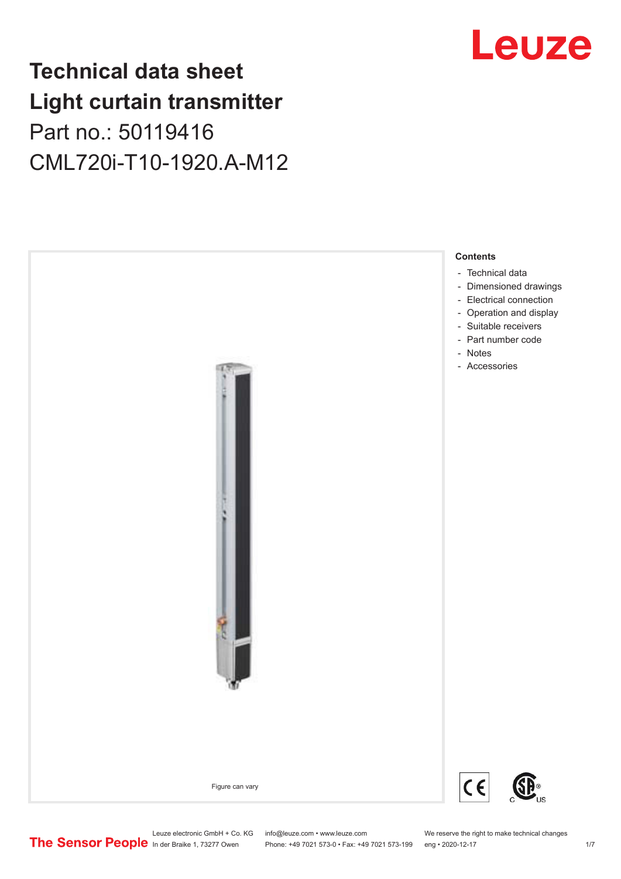## **Technical data sheet Light curtain transmitter** Part no.: 50119416 CML720i-T10-1920.A-M12



## Leuze

Leuze electronic GmbH + Co. KG info@leuze.com • www.leuze.com We reserve the right to make technical changes<br>
The Sensor People in der Braike 1, 73277 Owen Phone: +49 7021 573-0 • Fax: +49 7021 573-199 eng • 2020-12-17

Phone: +49 7021 573-0 • Fax: +49 7021 573-199 eng • 2020-12-17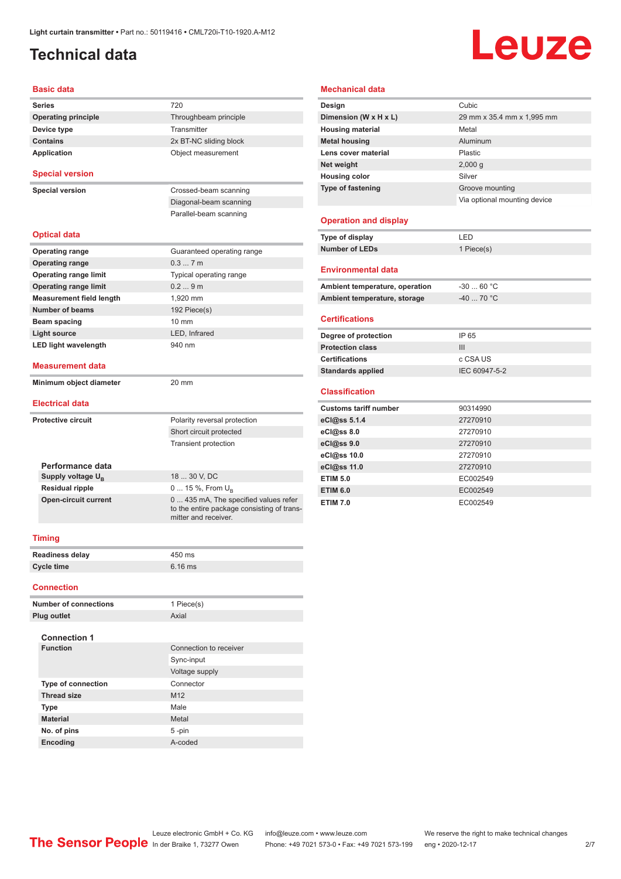### <span id="page-1-0"></span>**Technical data**

# **Leuze**

#### **Basic data**

| Series                          | 720                                                                                                         |
|---------------------------------|-------------------------------------------------------------------------------------------------------------|
| <b>Operating principle</b>      | Throughbeam principle                                                                                       |
| Device type                     | Transmitter                                                                                                 |
| <b>Contains</b>                 | 2x BT-NC sliding block                                                                                      |
| <b>Application</b>              | Object measurement                                                                                          |
| <b>Special version</b>          |                                                                                                             |
| <b>Special version</b>          | Crossed-beam scanning                                                                                       |
|                                 | Diagonal-beam scanning                                                                                      |
|                                 | Parallel-beam scanning                                                                                      |
|                                 |                                                                                                             |
| <b>Optical data</b>             |                                                                                                             |
| <b>Operating range</b>          | Guaranteed operating range                                                                                  |
| <b>Operating range</b>          | 0.37m                                                                                                       |
| <b>Operating range limit</b>    | Typical operating range                                                                                     |
| <b>Operating range limit</b>    | 0.29m                                                                                                       |
| <b>Measurement field length</b> | 1,920 mm                                                                                                    |
| Number of beams                 | 192 Piece(s)                                                                                                |
| Beam spacing                    | $10 \text{ mm}$                                                                                             |
| Light source                    | LED, Infrared                                                                                               |
| <b>LED light wavelength</b>     | 940 nm                                                                                                      |
| <b>Measurement data</b>         |                                                                                                             |
| Minimum object diameter         | 20 mm                                                                                                       |
| <b>Electrical data</b>          |                                                                                                             |
| <b>Protective circuit</b>       | Polarity reversal protection                                                                                |
|                                 | Short circuit protected                                                                                     |
|                                 | <b>Transient protection</b>                                                                                 |
| Performance data                |                                                                                                             |
| Supply voltage $U_{\rm B}$      | 18  30 V, DC                                                                                                |
| <b>Residual ripple</b>          | 0  15 %, From U <sub>B</sub>                                                                                |
| <b>Open-circuit current</b>     | 0  435 mA, The specified values refer<br>to the entire package consisting of trans-<br>mitter and receiver. |
| <b>Timing</b>                   |                                                                                                             |
| <b>Readiness delay</b>          | 450 ms                                                                                                      |
|                                 |                                                                                                             |

| <b>Housing color</b>           | Silver                       |
|--------------------------------|------------------------------|
| <b>Type of fastening</b>       | Groove mounting              |
|                                | Via optional mounting device |
|                                |                              |
| <b>Operation and display</b>   |                              |
| Type of display                | LED                          |
| <b>Number of LEDs</b>          | 1 Piece(s)                   |
| <b>Environmental data</b>      |                              |
| Ambient temperature, operation | $-3060 °C$                   |
| Ambient temperature, storage   | $-4070 °C$                   |
| <b>Certifications</b>          |                              |
| Degree of protection           | IP 65                        |
| <b>Protection class</b>        | III                          |
| <b>Certifications</b>          | c CSA US                     |
| <b>Standards applied</b>       | IEC 60947-5-2                |
| <b>Classification</b>          |                              |
| <b>Customs tariff number</b>   | 90314990                     |
| eCl@ss 5.1.4                   | 27270910                     |
| eCl@ss 8.0                     | 27270910                     |
| eCl@ss 9.0                     | 27270910                     |
| eCl@ss 10.0                    | 27270910                     |
| eCl@ss 11.0                    | 27270910                     |
| <b>ETIM 5.0</b>                | EC002549                     |
| <b>ETIM 6.0</b>                | EC002549                     |
| <b>ETIM 7.0</b>                | EC002549                     |
|                                |                              |

**Mechanical data**

**Design Cubic** 

**Housing material** Metal **Metal housing Aluminum Lens cover material** Plastic **Net weight** 2,000 g

**Dimension (W x H x L)** 29 mm x 35.4 mm x 1,995 mm

| <b>Connection</b> |           |  |
|-------------------|-----------|--|
|                   |           |  |
| Cycle time        | $6.16$ ms |  |
| Readiness delay   | 450 ms    |  |

| <b>Plug outlet</b>        | Axial                  |
|---------------------------|------------------------|
| <b>Connection 1</b>       |                        |
| <b>Function</b>           | Connection to receiver |
|                           | Sync-input             |
|                           | Voltage supply         |
| <b>Type of connection</b> | Connector              |
| <b>Thread size</b>        | M <sub>12</sub>        |
| <b>Type</b>               | Male                   |
| <b>Material</b>           | Metal                  |
| No. of pins               | $5 - pin$              |
| Encoding                  | A-coded                |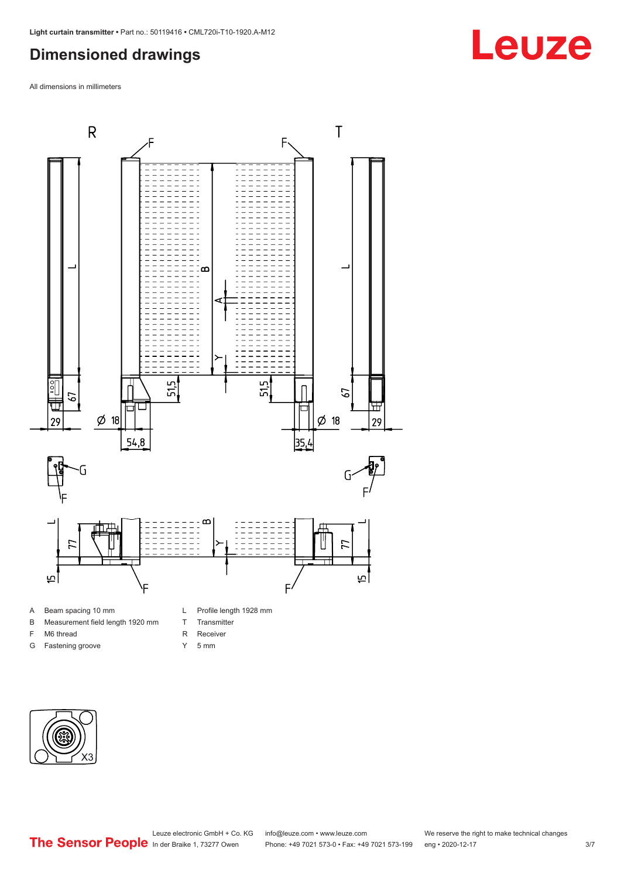#### <span id="page-2-0"></span>**Dimensioned drawings**

All dimensions in millimeters



- A Beam spacing 10 mm
- B Measurement field length 1920 mm
- F M6 thread
- G Fastening groove
- 
- T Transmitter
- R Receiver
- Y 5 mm



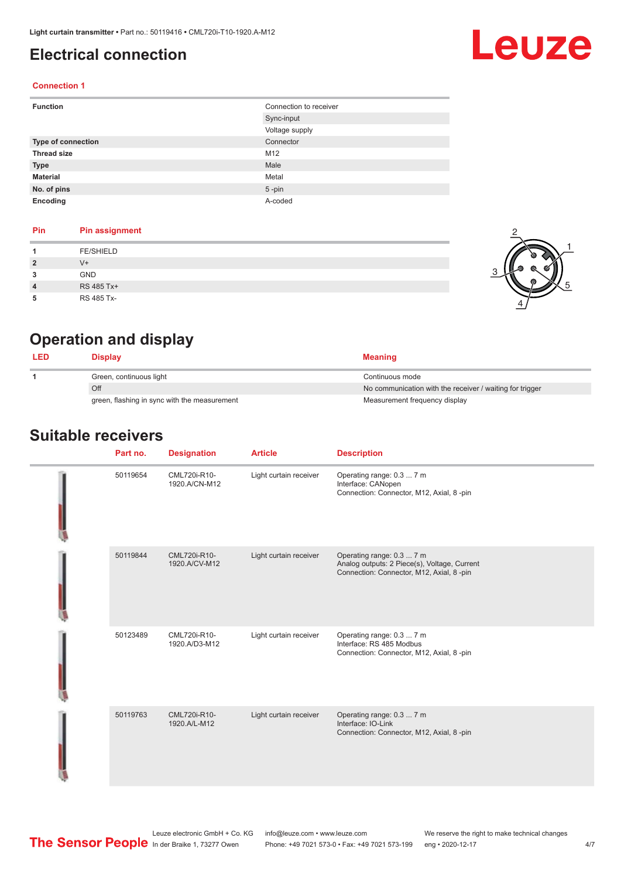#### <span id="page-3-0"></span>**Electrical connection**

# Leuze

#### **Connection 1**

| <b>Function</b>    | Connection to receiver |
|--------------------|------------------------|
|                    | Sync-input             |
|                    | Voltage supply         |
| Type of connection | Connector              |
| <b>Thread size</b> | M12                    |
| <b>Type</b>        | Male                   |
| <b>Material</b>    | Metal                  |
| No. of pins        | $5$ -pin               |
| Encoding           | A-coded                |

#### **Pin Pin assignment**

|   | <b>FE/SHIELD</b> |  |
|---|------------------|--|
| 2 | V+               |  |
| 3 | <b>GND</b>       |  |
| 4 | RS 485 Tx+       |  |
| 5 | RS 485 Tx-       |  |



### **Operation and display**

| <b>LED</b> | Display                                      | <b>Meaning</b>                                           |
|------------|----------------------------------------------|----------------------------------------------------------|
|            | Green, continuous light                      | Continuous mode                                          |
|            | Off                                          | No communication with the receiver / waiting for trigger |
|            | green, flashing in sync with the measurement | Measurement frequency display                            |

#### **Suitable receivers**

| Part no. | <b>Designation</b>            | <b>Article</b>         | <b>Description</b>                                                                                                     |
|----------|-------------------------------|------------------------|------------------------------------------------------------------------------------------------------------------------|
| 50119654 | CML720i-R10-<br>1920.A/CN-M12 | Light curtain receiver | Operating range: 0.3  7 m<br>Interface: CANopen<br>Connection: Connector, M12, Axial, 8 -pin                           |
| 50119844 | CML720i-R10-<br>1920.A/CV-M12 | Light curtain receiver | Operating range: 0.3  7 m<br>Analog outputs: 2 Piece(s), Voltage, Current<br>Connection: Connector, M12, Axial, 8 -pin |
| 50123489 | CML720i-R10-<br>1920.A/D3-M12 | Light curtain receiver | Operating range: 0.3  7 m<br>Interface: RS 485 Modbus<br>Connection: Connector, M12, Axial, 8 -pin                     |
| 50119763 | CML720i-R10-<br>1920.A/L-M12  | Light curtain receiver | Operating range: 0.3  7 m<br>Interface: IO-Link<br>Connection: Connector, M12, Axial, 8 -pin                           |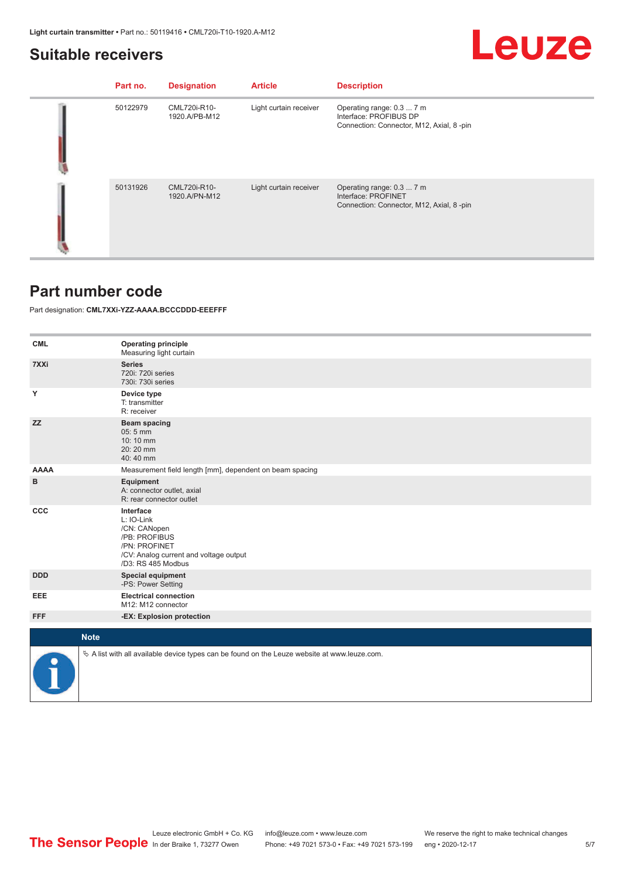#### <span id="page-4-0"></span>**Suitable receivers**

## Leuze

| Part no. | <b>Designation</b>            | <b>Article</b>         | <b>Description</b>                                                                              |
|----------|-------------------------------|------------------------|-------------------------------------------------------------------------------------------------|
| 50122979 | CML720i-R10-<br>1920.A/PB-M12 | Light curtain receiver | Operating range: 0.3  7 m<br>Interface: PROFIBUS DP<br>Connection: Connector, M12, Axial, 8-pin |
| 50131926 | CML720i-R10-<br>1920.A/PN-M12 | Light curtain receiver | Operating range: 0.3  7 m<br>Interface: PROFINET<br>Connection: Connector, M12, Axial, 8-pin    |

#### **Part number code**

Part designation: **CML7XXi-YZZ-AAAA.BCCCDDD-EEEFFF**

| <b>CML</b>  | <b>Operating principle</b><br>Measuring light curtain                                                                                     |
|-------------|-------------------------------------------------------------------------------------------------------------------------------------------|
| 7XXi        | <b>Series</b><br>720i: 720i series<br>730i: 730i series                                                                                   |
| Υ           | Device type<br>T: transmitter<br>R: receiver                                                                                              |
| <b>ZZ</b>   | Beam spacing<br>$05:5$ mm<br>10:10 mm<br>20:20 mm<br>40:40 mm                                                                             |
| <b>AAAA</b> | Measurement field length [mm], dependent on beam spacing                                                                                  |
| в           | Equipment<br>A: connector outlet, axial<br>R: rear connector outlet                                                                       |
| <b>CCC</b>  | Interface<br>L: IO-Link<br>/CN: CANopen<br>/PB: PROFIBUS<br>/PN: PROFINET<br>/CV: Analog current and voltage output<br>/D3: RS 485 Modbus |
| <b>DDD</b>  | <b>Special equipment</b><br>-PS: Power Setting                                                                                            |
| EEE         | <b>Electrical connection</b><br>M12: M12 connector                                                                                        |
| <b>FFF</b>  | -EX: Explosion protection                                                                                                                 |
| <b>Note</b> |                                                                                                                                           |
|             |                                                                                                                                           |
|             | $\&$ A list with all available device types can be found on the Leuze website at www.leuze.com.                                           |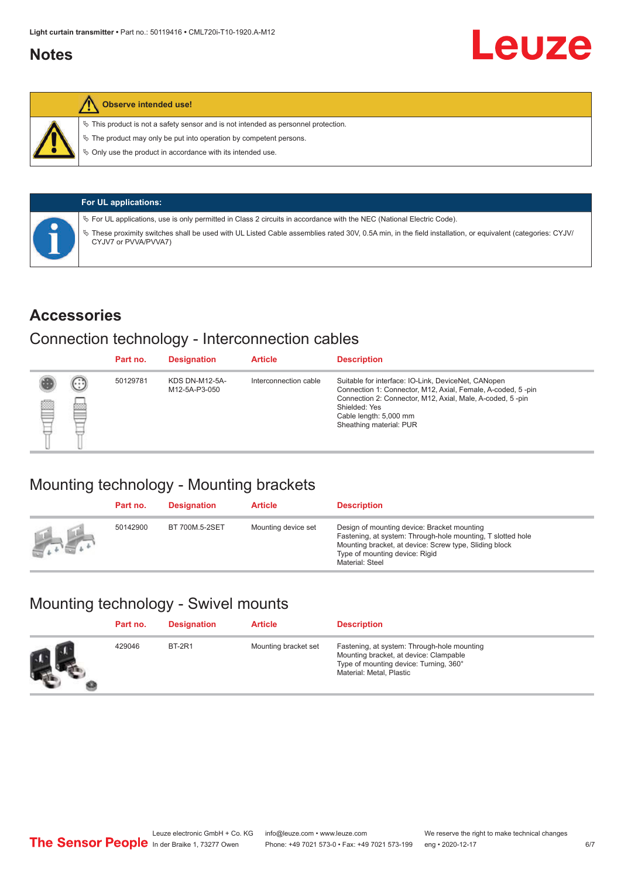#### <span id="page-5-0"></span>**Notes**



#### **Observe intended use!**

 $\%$  This product is not a safety sensor and is not intended as personnel protection.

 $\%$  The product may only be put into operation by competent persons.

 $\%$  Only use the product in accordance with its intended use.

| <b>For UL applications:</b>                                                                                                                                                     |
|---------------------------------------------------------------------------------------------------------------------------------------------------------------------------------|
| $\%$ For UL applications, use is only permitted in Class 2 circuits in accordance with the NEC (National Electric Code).                                                        |
| These proximity switches shall be used with UL Listed Cable assemblies rated 30V, 0.5A min, in the field installation, or equivalent (categories: CYJV/<br>CYJV7 or PVVA/PVVA7) |

#### **Accessories**

#### Connection technology - Interconnection cables

|   |        | Part no. | <b>Designation</b>                     | <b>Article</b>        | <b>Description</b>                                                                                                                                                                                                                                    |
|---|--------|----------|----------------------------------------|-----------------------|-------------------------------------------------------------------------------------------------------------------------------------------------------------------------------------------------------------------------------------------------------|
| 國 | ⊕<br>œ | 50129781 | <b>KDS DN-M12-5A-</b><br>M12-5A-P3-050 | Interconnection cable | Suitable for interface: IO-Link, DeviceNet, CANopen<br>Connection 1: Connector, M12, Axial, Female, A-coded, 5-pin<br>Connection 2: Connector, M12, Axial, Male, A-coded, 5-pin<br>Shielded: Yes<br>Cable length: 5,000 mm<br>Sheathing material: PUR |

### Mounting technology - Mounting brackets

|               | Part no. | <b>Designation</b> | <b>Article</b>      | <b>Description</b>                                                                                                                                                                                                        |
|---------------|----------|--------------------|---------------------|---------------------------------------------------------------------------------------------------------------------------------------------------------------------------------------------------------------------------|
| <b>Altres</b> | 50142900 | BT 700M.5-2SET     | Mounting device set | Design of mounting device: Bracket mounting<br>Fastening, at system: Through-hole mounting, T slotted hole<br>Mounting bracket, at device: Screw type, Sliding block<br>Type of mounting device: Rigid<br>Material: Steel |

### Mounting technology - Swivel mounts

| Part no. | <b>Designation</b> | <b>Article</b>       | <b>Description</b>                                                                                                                                          |
|----------|--------------------|----------------------|-------------------------------------------------------------------------------------------------------------------------------------------------------------|
| 429046   | <b>BT-2R1</b>      | Mounting bracket set | Fastening, at system: Through-hole mounting<br>Mounting bracket, at device: Clampable<br>Type of mounting device: Turning, 360°<br>Material: Metal, Plastic |

Leuze